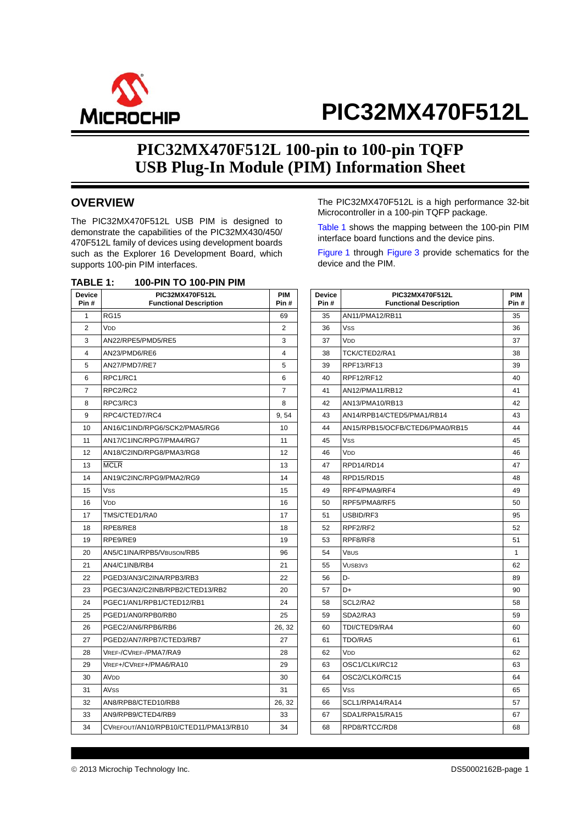

# **PIC32MX470F512L 100-pin to 100-pin TQFP USB Plug-In Module (PIM) Information Sheet**

## **OVERVIEW**

The PIC32MX470F512L USB PIM is designed to demonstrate the capabilities of the PIC32MX430/450/ 470F512L family of devices using development boards such as the Explorer 16 Development Board, which supports 100-pin PIM interfaces.

## <span id="page-0-0"></span>**TABLE 1: 100-PIN TO 100-PIN PIM**

| <b>Device</b><br>Pin# | PIC32MX470F512L<br><b>Functional Description</b> | <b>PIM</b><br>Pin# | <b>Device</b><br>Pin# | PIC32MX470F512L<br><b>Functional Description</b> | PIN<br>Pin   |
|-----------------------|--------------------------------------------------|--------------------|-----------------------|--------------------------------------------------|--------------|
| $\mathbf{1}$          | <b>RG15</b>                                      | 69                 | 35                    | AN11/PMA12/RB11                                  | 35           |
| 2                     | <b>V<sub>D</sub></b>                             | 2                  | 36                    | <b>Vss</b>                                       | 36           |
| 3                     | AN22/RPE5/PMD5/RE5                               | 3                  | 37                    | V <sub>DD</sub>                                  | 37           |
| 4                     | AN23/PMD6/RE6                                    | 4                  | 38                    | TCK/CTED2/RA1                                    | 38           |
| 5                     | AN27/PMD7/RE7                                    | 5                  | 39                    | RPF13/RF13                                       | 39           |
| 6                     | RPC1/RC1                                         | 6                  | 40                    | <b>RPF12/RF12</b>                                | 40           |
| $\overline{7}$        | RPC2/RC2                                         | $\overline{7}$     | 41                    | AN12/PMA11/RB12                                  | 41           |
| 8                     | RPC3/RC3                                         | 8                  | 42                    | AN13/PMA10/RB13                                  | 42           |
| 9                     | RPC4/CTED7/RC4                                   | 9,54               | 43                    | AN14/RPB14/CTED5/PMA1/RB14                       | 43           |
| 10                    | AN16/C1IND/RPG6/SCK2/PMA5/RG6                    | 10                 | 44                    | AN15/RPB15/OCFB/CTED6/PMA0/RB15                  | 44           |
| 11                    | AN17/C1INC/RPG7/PMA4/RG7                         | 11                 | 45                    | <b>Vss</b>                                       | 45           |
| 12                    | AN18/C2IND/RPG8/PMA3/RG8                         | 12                 | 46                    | <b>V<sub>DD</sub></b>                            | 46           |
| 13                    | <b>MCLR</b>                                      | 13                 | 47                    | RPD14/RD14                                       | 47           |
| 14                    | AN19/C2INC/RPG9/PMA2/RG9                         | 14                 | 48                    | RPD15/RD15                                       | 48           |
| 15                    | <b>Vss</b>                                       | 15                 | 49                    | RPF4/PMA9/RF4                                    | 49           |
| 16                    | <b>V<sub>D</sub></b>                             | 16                 | 50                    | RPF5/PMA8/RF5                                    | 50           |
| 17                    | TMS/CTED1/RA0                                    | 17                 | 51                    | USBID/RF3                                        | 95           |
| 18                    | RPE8/RE8                                         | 18                 | 52                    | RPF2/RF2                                         | 52           |
| 19                    | RPE9/RE9                                         | 19                 | 53                    | RPF8/RF8                                         | 51           |
| 20                    | AN5/C1INA/RPB5/VBUSON/RB5                        | 96                 | 54                    | <b>VBUS</b>                                      | $\mathbf{1}$ |
| 21                    | AN4/C1INB/RB4                                    | 21                 | 55                    | VUSB3V3                                          | 62           |
| 22                    | PGED3/AN3/C2INA/RPB3/RB3                         | 22                 | 56                    | D-                                               | 89           |
| 23                    | PGEC3/AN2/C2INB/RPB2/CTED13/RB2                  | 20                 | 57                    | D+                                               | 90           |
| 24                    | PGEC1/AN1/RPB1/CTED12/RB1                        | 24                 | 58                    | SCL2/RA2                                         | 58           |
| 25                    | PGED1/AN0/RPB0/RB0                               | 25                 | 59                    | SDA2/RA3                                         | 59           |
| 26                    | PGEC2/AN6/RPB6/RB6                               | 26, 32             | 60                    | TDI/CTED9/RA4                                    | 60           |
| 27                    | PGED2/AN7/RPB7/CTED3/RB7                         | 27                 | 61                    | TDO/RA5                                          | 61           |
| 28                    | VREF-/CVREF-/PMA7/RA9                            | 28                 | 62                    | V <sub>DD</sub>                                  | 62           |
| 29                    | VREF+/CVREF+/PMA6/RA10                           | 29                 | 63                    | OSC1/CLKI/RC12                                   | 63           |
| 30                    | <b>AVDD</b>                                      | 30                 | 64                    | OSC2/CLKO/RC15                                   | 64           |
| 31                    | AVSS                                             | 31                 | 65                    | Vss                                              | 65           |
| 32                    | AN8/RPB8/CTED10/RB8                              | 26, 32             | 66                    | SCL1/RPA14/RA14                                  | 57           |
| 33                    | AN9/RPB9/CTED4/RB9                               | 33                 | 67                    | SDA1/RPA15/RA15                                  | 67           |
| 34                    | CVREFOUT/AN10/RPB10/CTED11/PMA13/RB10            | 34                 | 68                    | RPD8/RTCC/RD8                                    | 68           |
|                       |                                                  |                    |                       |                                                  |              |

The PIC32MX470F512L is a high performance 32-bit Microcontroller in a 100-pin TQFP package.

[Table 1](#page-0-0) shows the mapping between the 100-pin PIM interface board functions and the device pins.

[Figure 1](#page-2-0) through [Figure 3](#page-4-0) provide schematics for the device and the PIM.

| <b>Device</b><br>Pin # | PIC32MX470F512L<br><b>Functional Description</b> | PIM<br>Pin # |
|------------------------|--------------------------------------------------|--------------|
| 35                     | AN11/PMA12/RB11                                  | 35           |
| 36                     | <b>Vss</b>                                       | 36           |
| 37                     | VDD                                              | 37           |
| 38                     | TCK/CTED2/RA1                                    | 38           |
| 39                     | RPF13/RF13                                       | 39           |
| 40                     | RPF12/RF12                                       | 40           |
| 41                     | AN12/PMA11/RB12                                  | 41           |
| 42                     | AN13/PMA10/RB13                                  | 42           |
| 43                     | AN14/RPB14/CTED5/PMA1/RB14                       | 43           |
| 44                     | AN15/RPB15/OCFB/CTED6/PMA0/RB15                  | 44           |
| 45                     | <b>Vss</b>                                       | 45           |
| 46                     | VDD                                              | 46           |
| 47                     | RPD14/RD14                                       | 47           |
| 48                     | RPD15/RD15                                       | 48           |
| 49                     | RPF4/PMA9/RF4                                    | 49           |
| 50                     | RPF5/PMA8/RF5                                    | 50           |
| 51                     | USBID/RF3                                        | 95           |
| 52                     | RPF2/RF2                                         | 52           |
| 53                     | RPF8/RF8                                         | 51           |
| 54                     | <b>VBUS</b>                                      | 1            |
| 55                     | VUSB3V3                                          | 62           |
| 56                     | D-                                               | 89           |
| 57                     | D+                                               | 90           |
| 58                     | SCL2/RA2                                         | 58           |
| 59                     | SDA2/RA3                                         | 59           |
| 60                     | TDI/CTED9/RA4                                    | 60           |
| 61                     | TDO/RA5                                          | 61           |
| 62                     | VDD                                              | 62           |
| 63                     | OSC1/CLKI/RC12                                   | 63           |
| 64                     | OSC2/CLKO/RC15                                   | 64           |
| 65                     | <b>Vss</b>                                       | 65           |
| 66                     | SCL1/RPA14/RA14                                  | 57           |
| 67                     | SDA1/RPA15/RA15                                  | 67           |
| 68                     | RPD8/RTCC/RD8                                    | 68           |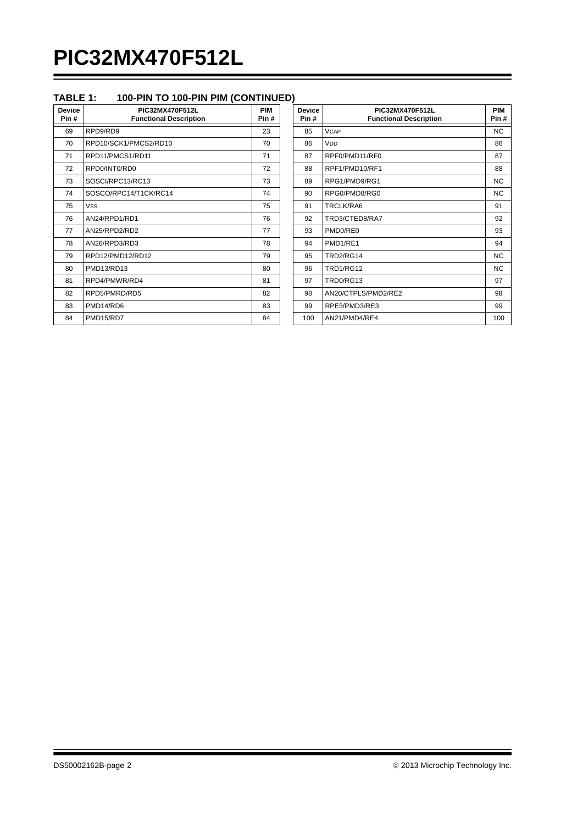### **TABLE 1: 100-PIN TO 100-PIN PIM (CONTINUED)**

| <b>Device</b><br>Pin# | PIC32MX470F512L<br><b>Functional Description</b> | <b>PIM</b><br>Pin# | <b>Device</b><br>Pin# | PIC32MX470F512L<br><b>Functional Description</b> | PIN<br>Pin      |
|-----------------------|--------------------------------------------------|--------------------|-----------------------|--------------------------------------------------|-----------------|
| 69                    | RPD9/RD9                                         | 23                 | 85                    | <b>VCAP</b>                                      | <b>NC</b>       |
| 70                    | RPD10/SCK1/PMCS2/RD10                            | 70                 | 86                    | <b>VDD</b>                                       | 86              |
| 71                    | RPD11/PMCS1/RD11                                 | 71                 | 87                    | RPF0/PMD11/RF0                                   | 87              |
| 72                    | RPD0/INT0/RD0                                    | 72                 | 88                    | RPF1/PMD10/RF1                                   | 88              |
| 73                    | SOSCI/RPC13/RC13                                 | 73                 | 89                    | RPG1/PMD9/RG1                                    | <b>NC</b>       |
| 74                    | SOSCO/RPC14/T1CK/RC14                            | 74                 | 90                    | RPG0/PMD8/RG0                                    | <b>NC</b>       |
| 75                    | <b>Vss</b>                                       | 75                 | 91                    | TRCLK/RA6                                        | 91              |
| 76                    | AN24/RPD1/RD1                                    | 76                 | 92                    | TRD3/CTED8/RA7                                   | 92              |
| 77                    | AN25/RPD2/RD2                                    | 77                 | 93                    | PMD0/RE0                                         | 93              |
| 78                    | AN26/RPD3/RD3                                    | 78                 | 94                    | PMD1/RE1                                         | 94              |
| 79                    | RPD12/PMD12/RD12                                 | 79                 | 95                    | TRD2/RG14                                        | <b>NC</b>       |
| 80                    | PMD13/RD13                                       | 80                 | 96                    | TRD1/RG12                                        | <b>NC</b>       |
| 81                    | RPD4/PMWR/RD4                                    | 81                 | 97                    | TRD0/RG13                                        | 97              |
| 82                    | RPD5/PMRD/RD5                                    | 82                 | 98                    | AN20/CTPLS/PMD2/RE2                              | 98              |
| 83                    | PMD14/RD6                                        | 83                 | 99                    | RPE3/PMD3/RE3                                    | 99              |
| 84                    | PMD15/RD7                                        | 84                 | 100                   | AN21/PMD4/RE4                                    | 10 <sub>C</sub> |

| <b>Device</b><br>Pin# | PIC32MX470F512L<br><b>Functional Description</b> | <b>PIM</b><br>Pin# |
|-----------------------|--------------------------------------------------|--------------------|
| 85                    | <b>VCAP</b>                                      | <b>NC</b>          |
| 86                    | V <sub>DD</sub>                                  | 86                 |
| 87                    | RPF0/PMD11/RF0                                   | 87                 |
| 88                    | RPF1/PMD10/RF1                                   | 88                 |
| 89                    | RPG1/PMD9/RG1                                    | NC.                |
| 90                    | RPG0/PMD8/RG0                                    | <b>NC</b>          |
| 91                    | TRCLK/RA6                                        | 91                 |
| 92                    | TRD3/CTED8/RA7                                   | 92                 |
| 93                    | PMD0/RE0                                         | 93                 |
| 94                    | PMD1/RE1                                         | 94                 |
| 95                    | <b>TRD2/RG14</b>                                 | <b>NC</b>          |
| 96                    | TRD1/RG12                                        | <b>NC</b>          |
| 97                    | TRD0/RG13                                        | 97                 |
| 98                    | AN20/CTPLS/PMD2/RE2                              | 98                 |
| 99                    | RPE3/PMD3/RE3                                    | 99                 |
| 100                   | AN21/PMD4/RE4                                    | 100                |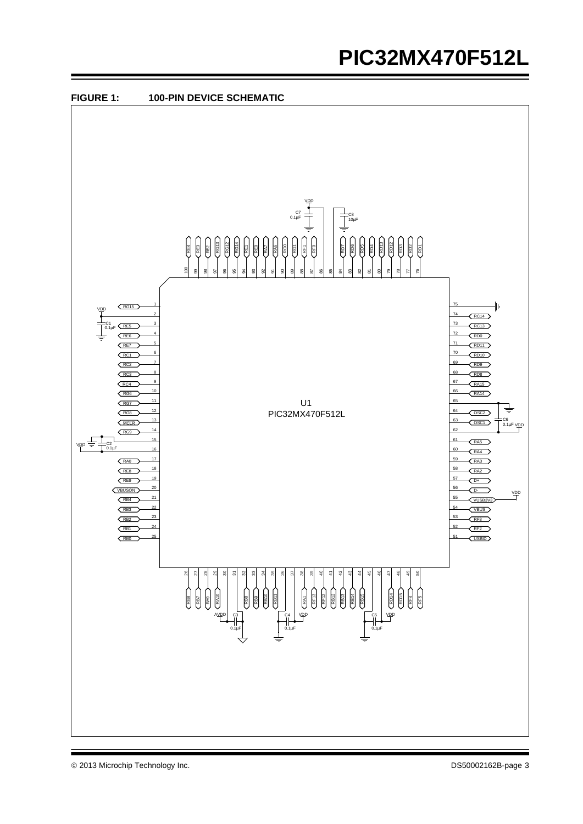<span id="page-2-0"></span>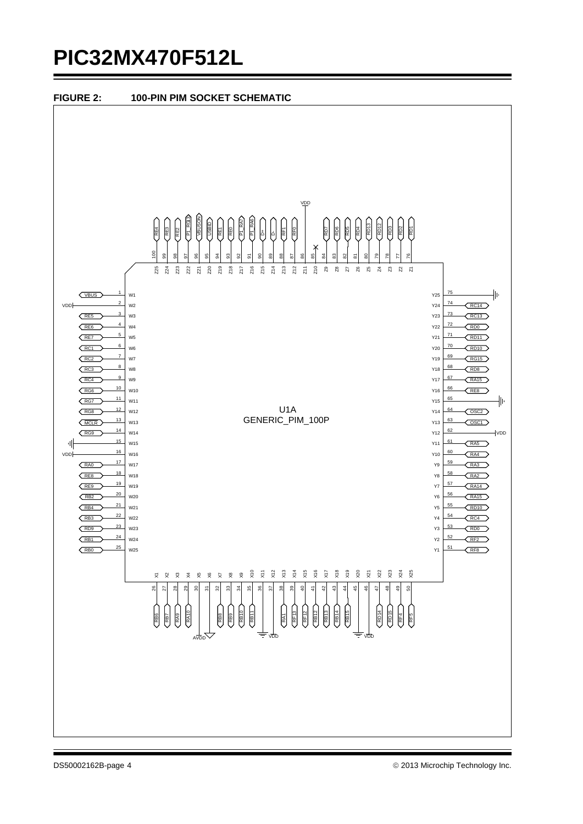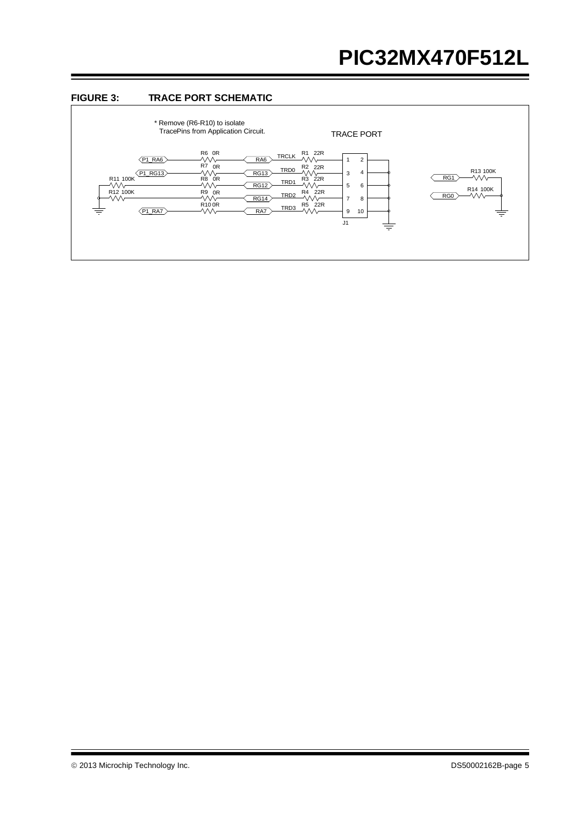<span id="page-4-0"></span>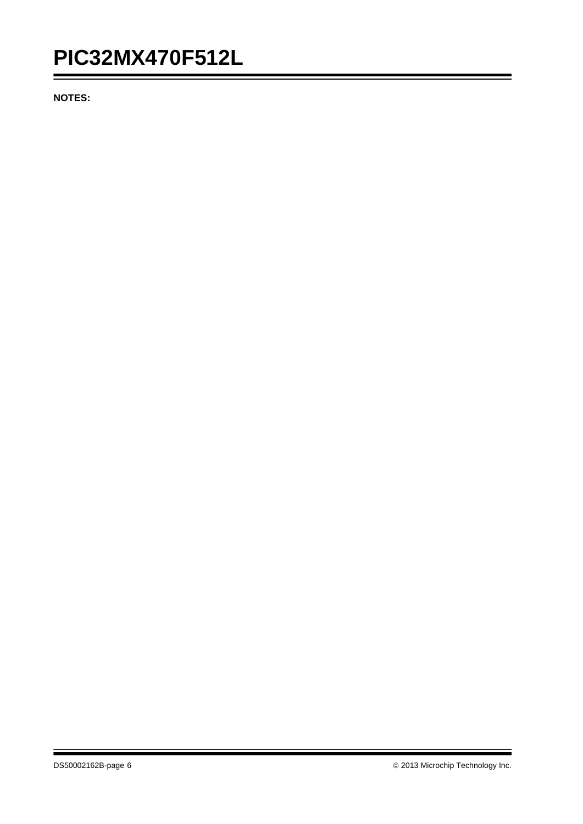**NOTES:**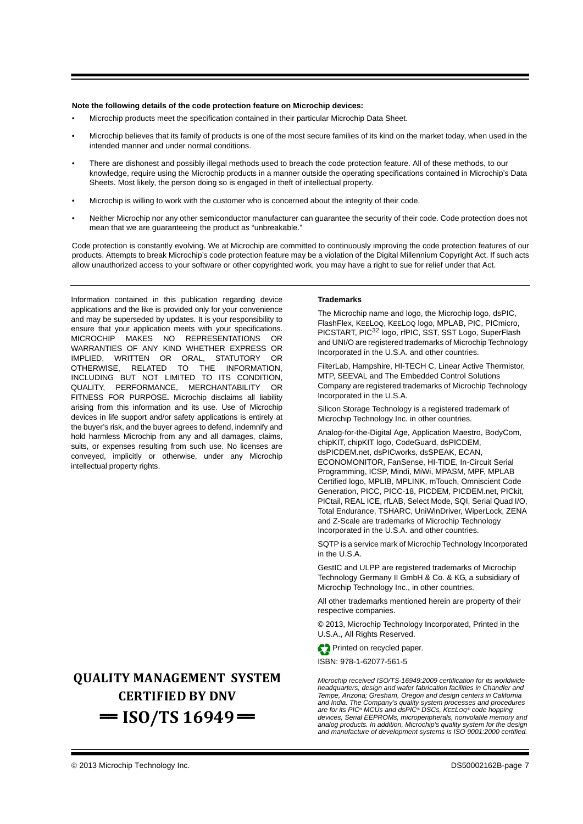#### **Note the following details of the code protection feature on Microchip devices:**

- Microchip products meet the specification contained in their particular Microchip Data Sheet.
- Microchip believes that its family of products is one of the most secure families of its kind on the market today, when used in the intended manner and under normal conditions.
- There are dishonest and possibly illegal methods used to breach the code protection feature. All of these methods, to our knowledge, require using the Microchip products in a manner outside the operating specifications contained in Microchip's Data Sheets. Most likely, the person doing so is engaged in theft of intellectual property.
- Microchip is willing to work with the customer who is concerned about the integrity of their code.
- Neither Microchip nor any other semiconductor manufacturer can guarantee the security of their code. Code protection does not mean that we are guaranteeing the product as "unbreakable."

Code protection is constantly evolving. We at Microchip are committed to continuously improving the code protection features of our products. Attempts to break Microchip's code protection feature may be a violation of the Digital Millennium Copyright Act. If such acts allow unauthorized access to your software or other copyrighted work, you may have a right to sue for relief under that Act.

Information contained in this publication regarding device applications and the like is provided only for your convenience and may be superseded by updates. It is your responsibility to ensure that your application meets with your specifications. MICROCHIP MAKES NO REPRESENTATIONS OR WARRANTIES OF ANY KIND WHETHER EXPRESS OR IMPLIED, WRITTEN OR ORAL, STATUTORY OR OTHERWISE, RELATED TO THE INFORMATION, INCLUDING BUT NOT LIMITED TO ITS CONDITION, QUALITY, PERFORMANCE, MERCHANTABILITY OR FITNESS FOR PURPOSE**.** Microchip disclaims all liability arising from this information and its use. Use of Microchip devices in life support and/or safety applications is entirely at the buyer's risk, and the buyer agrees to defend, indemnify and hold harmless Microchip from any and all damages, claims, suits, or expenses resulting from such use. No licenses are conveyed, implicitly or otherwise, under any Microchip intellectual property rights.

# **QUALITY MANAGEMENT SYSTEM CERTIFIED BY DNV**  $=$  **ISO/TS** 16949 $=$

#### **Trademarks**

The Microchip name and logo, the Microchip logo, dsPIC, FlashFlex, KEELOQ, KEELOQ logo, MPLAB, PIC, PICmicro, PICSTART, PIC<sup>32</sup> logo, rfPIC, SST, SST Logo, SuperFlash and UNI/O are registered trademarks of Microchip Technology Incorporated in the U.S.A. and other countries.

FilterLab, Hampshire, HI-TECH C, Linear Active Thermistor, MTP, SEEVAL and The Embedded Control Solutions Company are registered trademarks of Microchip Technology Incorporated in the U.S.A.

Silicon Storage Technology is a registered trademark of Microchip Technology Inc. in other countries.

Analog-for-the-Digital Age, Application Maestro, BodyCom, chipKIT, chipKIT logo, CodeGuard, dsPICDEM, dsPICDEM.net, dsPICworks, dsSPEAK, ECAN, ECONOMONITOR, FanSense, HI-TIDE, In-Circuit Serial Programming, ICSP, Mindi, MiWi, MPASM, MPF, MPLAB Certified logo, MPLIB, MPLINK, mTouch, Omniscient Code Generation, PICC, PICC-18, PICDEM, PICDEM.net, PICkit, PICtail, REAL ICE, rfLAB, Select Mode, SQI, Serial Quad I/O, Total Endurance, TSHARC, UniWinDriver, WiperLock, ZENA and Z-Scale are trademarks of Microchip Technology Incorporated in the U.S.A. and other countries.

SQTP is a service mark of Microchip Technology Incorporated in the U.S.A.

GestIC and ULPP are registered trademarks of Microchip Technology Germany II GmbH & Co. & KG, a subsidiary of Microchip Technology Inc., in other countries.

All other trademarks mentioned herein are property of their respective companies.

© 2013, Microchip Technology Incorporated, Printed in the U.S.A., All Rights Reserved.

Printed on recycled paper.

ISBN: 978-1-62077-561-5

*Microchip received ISO/TS-16949:2009 certification for its worldwide headquarters, design and wafer fabrication facilities in Chandler and Tempe, Arizona; Gresham, Oregon and design centers in California and India. The Company's quality system processes and procedures are for its PIC® MCUs and dsPIC® DSCs, KEELOQ® code hopping devices, Serial EEPROMs, microperipherals, nonvolatile memory and analog products. In addition, Microchip's quality system for the design and manufacture of development systems is ISO 9001:2000 certified.*